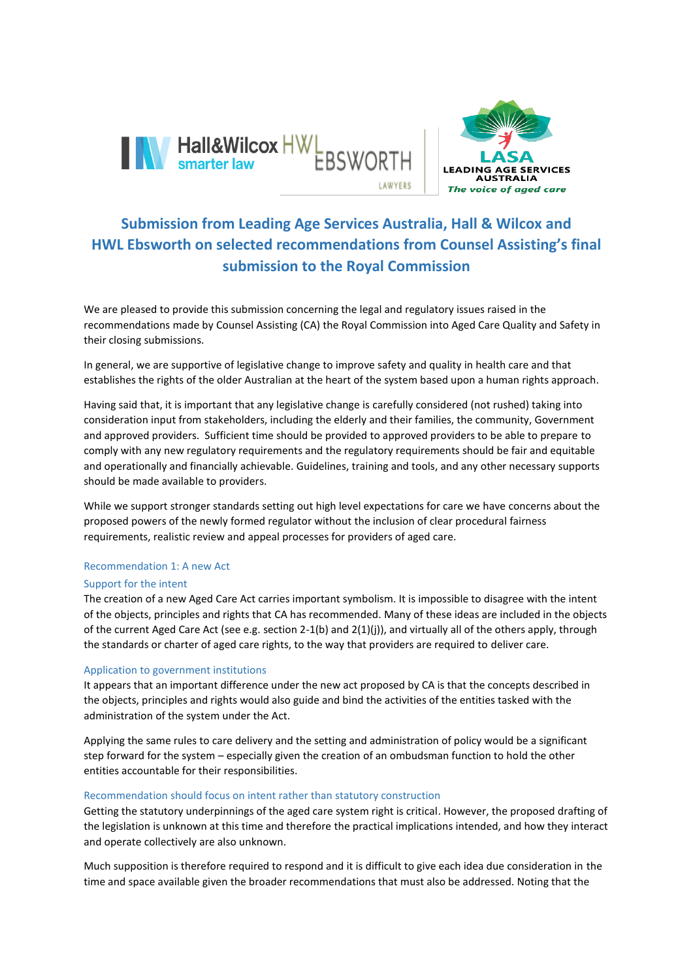



# **Submission from Leading Age Services Australia, Hall & Wilcox and HWL Ebsworth on selected recommendations from Counsel Assisting's final submission to the Royal Commission**

We are pleased to provide this submission concerning the legal and regulatory issues raised in the recommendations made by Counsel Assisting (CA) the Royal Commission into Aged Care Quality and Safety in their closing submissions.

In general, we are supportive of legislative change to improve safety and quality in health care and that establishes the rights of the older Australian at the heart of the system based upon a human rights approach.

Having said that, it is important that any legislative change is carefully considered (not rushed) taking into consideration input from stakeholders, including the elderly and their families, the community, Government and approved providers. Sufficient time should be provided to approved providers to be able to prepare to comply with any new regulatory requirements and the regulatory requirements should be fair and equitable and operationally and financially achievable. Guidelines, training and tools, and any other necessary supports should be made available to providers.

While we support stronger standards setting out high level expectations for care we have concerns about the proposed powers of the newly formed regulator without the inclusion of clear procedural fairness requirements, realistic review and appeal processes for providers of aged care.

## Recommendation 1: A new Act

## Support for the intent

The creation of a new Aged Care Act carries important symbolism. It is impossible to disagree with the intent of the objects, principles and rights that CA has recommended. Many of these ideas are included in the objects of the current Aged Care Act (see e.g. section 2-1(b) and 2(1)(j)), and virtually all of the others apply, through the standards or charter of aged care rights, to the way that providers are required to deliver care.

## Application to government institutions

It appears that an important difference under the new act proposed by CA is that the concepts described in the objects, principles and rights would also guide and bind the activities of the entities tasked with the administration of the system under the Act.

Applying the same rules to care delivery and the setting and administration of policy would be a significant step forward for the system – especially given the creation of an ombudsman function to hold the other entities accountable for their responsibilities.

## Recommendation should focus on intent rather than statutory construction

Getting the statutory underpinnings of the aged care system right is critical. However, the proposed drafting of the legislation is unknown at this time and therefore the practical implications intended, and how they interact and operate collectively are also unknown.

Much supposition is therefore required to respond and it is difficult to give each idea due consideration in the time and space available given the broader recommendations that must also be addressed. Noting that the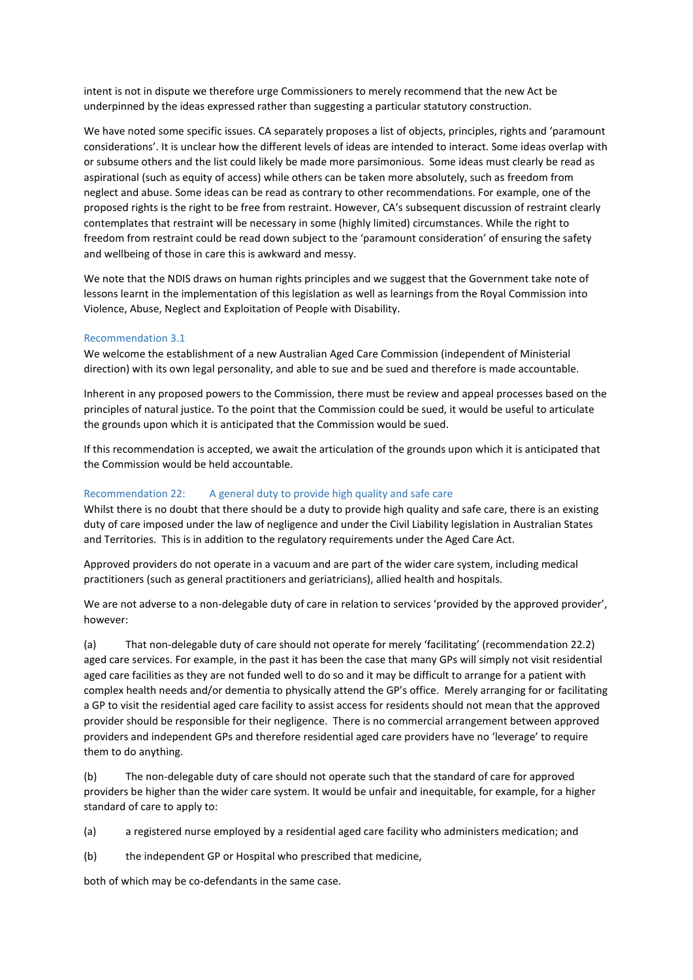intent is not in dispute we therefore urge Commissioners to merely recommend that the new Act be underpinned by the ideas expressed rather than suggesting a particular statutory construction.

We have noted some specific issues. CA separately proposes a list of objects, principles, rights and 'paramount considerations'. It is unclear how the different levels of ideas are intended to interact. Some ideas overlap with or subsume others and the list could likely be made more parsimonious. Some ideas must clearly be read as aspirational (such as equity of access) while others can be taken more absolutely, such as freedom from neglect and abuse. Some ideas can be read as contrary to other recommendations. For example, one of the proposed rights is the right to be free from restraint. However, CA's subsequent discussion of restraint clearly contemplates that restraint will be necessary in some (highly limited) circumstances. While the right to freedom from restraint could be read down subject to the 'paramount consideration' of ensuring the safety and wellbeing of those in care this is awkward and messy.

We note that the NDIS draws on human rights principles and we suggest that the Government take note of lessons learnt in the implementation of this legislation as well as learnings from the Royal Commission into Violence, Abuse, Neglect and Exploitation of People with Disability.

#### Recommendation 3.1

We welcome the establishment of a new Australian Aged Care Commission (independent of Ministerial direction) with its own legal personality, and able to sue and be sued and therefore is made accountable.

Inherent in any proposed powers to the Commission, there must be review and appeal processes based on the principles of natural justice. To the point that the Commission could be sued, it would be useful to articulate the grounds upon which it is anticipated that the Commission would be sued.

If this recommendation is accepted, we await the articulation of the grounds upon which it is anticipated that the Commission would be held accountable.

#### Recommendation 22: A general duty to provide high quality and safe care

Whilst there is no doubt that there should be a duty to provide high quality and safe care, there is an existing duty of care imposed under the law of negligence and under the Civil Liability legislation in Australian States and Territories. This is in addition to the regulatory requirements under the Aged Care Act.

Approved providers do not operate in a vacuum and are part of the wider care system, including medical practitioners (such as general practitioners and geriatricians), allied health and hospitals.

We are not adverse to a non-delegable duty of care in relation to services 'provided by the approved provider', however:

(a) That non-delegable duty of care should not operate for merely 'facilitating' (recommendation 22.2) aged care services. For example, in the past it has been the case that many GPs will simply not visit residential aged care facilities as they are not funded well to do so and it may be difficult to arrange for a patient with complex health needs and/or dementia to physically attend the GP's office. Merely arranging for or facilitating a GP to visit the residential aged care facility to assist access for residents should not mean that the approved provider should be responsible for their negligence. There is no commercial arrangement between approved providers and independent GPs and therefore residential aged care providers have no 'leverage' to require them to do anything.

(b) The non-delegable duty of care should not operate such that the standard of care for approved providers be higher than the wider care system. It would be unfair and inequitable, for example, for a higher standard of care to apply to:

(a) a registered nurse employed by a residential aged care facility who administers medication; and

(b) the independent GP or Hospital who prescribed that medicine,

both of which may be co-defendants in the same case.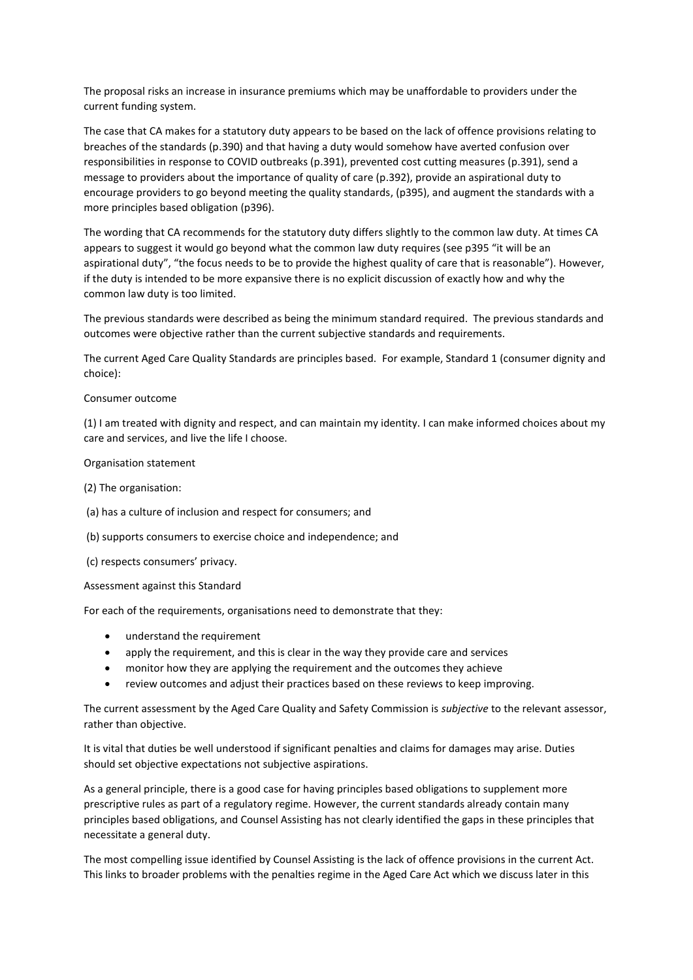The proposal risks an increase in insurance premiums which may be unaffordable to providers under the current funding system.

The case that CA makes for a statutory duty appears to be based on the lack of offence provisions relating to breaches of the standards (p.390) and that having a duty would somehow have averted confusion over responsibilities in response to COVID outbreaks (p.391), prevented cost cutting measures (p.391), send a message to providers about the importance of quality of care (p.392), provide an aspirational duty to encourage providers to go beyond meeting the quality standards, (p395), and augment the standards with a more principles based obligation (p396).

The wording that CA recommends for the statutory duty differs slightly to the common law duty. At times CA appears to suggest it would go beyond what the common law duty requires (see p395 "it will be an aspirational duty", "the focus needs to be to provide the highest quality of care that is reasonable"). However, if the duty is intended to be more expansive there is no explicit discussion of exactly how and why the common law duty is too limited.

The previous standards were described as being the minimum standard required. The previous standards and outcomes were objective rather than the current subjective standards and requirements.

The current Aged Care Quality Standards are principles based. For example, Standard 1 (consumer dignity and choice):

## Consumer outcome

(1) I am treated with dignity and respect, and can maintain my identity. I can make informed choices about my care and services, and live the life I choose.

## Organisation statement

## (2) The organisation:

- (a) has a culture of inclusion and respect for consumers; and
- (b) supports consumers to exercise choice and independence; and
- (c) respects consumers' privacy.

#### Assessment against this Standard

For each of the requirements, organisations need to demonstrate that they:

- understand the requirement
- apply the requirement, and this is clear in the way they provide care and services
- monitor how they are applying the requirement and the outcomes they achieve
- review outcomes and adjust their practices based on these reviews to keep improving.

The current assessment by the Aged Care Quality and Safety Commission is *subjective* to the relevant assessor, rather than objective.

It is vital that duties be well understood if significant penalties and claims for damages may arise. Duties should set objective expectations not subjective aspirations.

As a general principle, there is a good case for having principles based obligations to supplement more prescriptive rules as part of a regulatory regime. However, the current standards already contain many principles based obligations, and Counsel Assisting has not clearly identified the gaps in these principles that necessitate a general duty.

The most compelling issue identified by Counsel Assisting is the lack of offence provisions in the current Act. This links to broader problems with the penalties regime in the Aged Care Act which we discuss later in this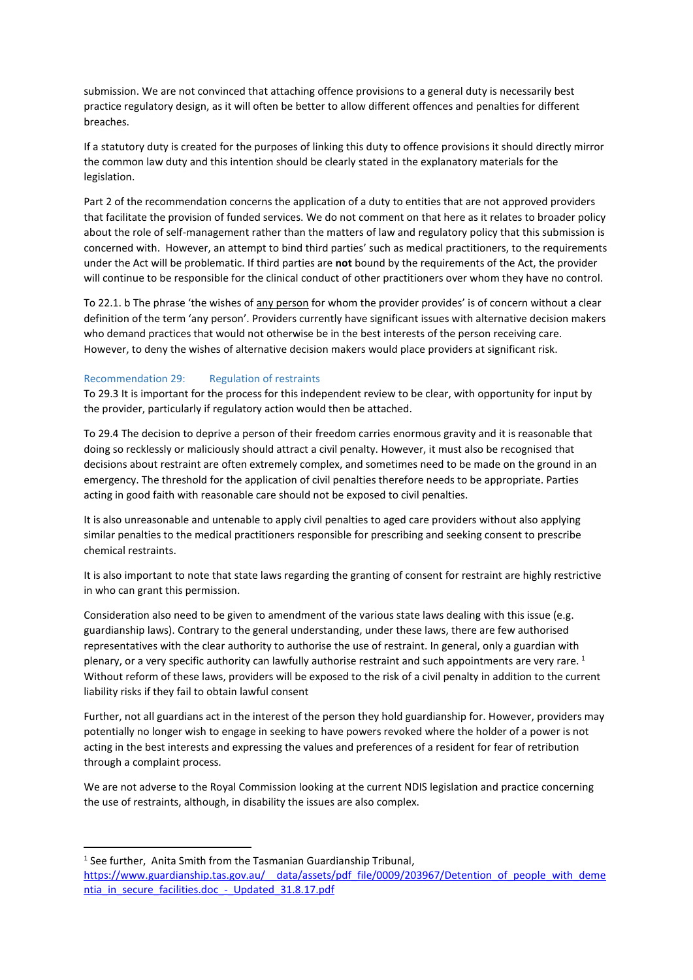submission. We are not convinced that attaching offence provisions to a general duty is necessarily best practice regulatory design, as it will often be better to allow different offences and penalties for different breaches.

If a statutory duty is created for the purposes of linking this duty to offence provisions it should directly mirror the common law duty and this intention should be clearly stated in the explanatory materials for the legislation.

Part 2 of the recommendation concerns the application of a duty to entities that are not approved providers that facilitate the provision of funded services. We do not comment on that here as it relates to broader policy about the role of self-management rather than the matters of law and regulatory policy that this submission is concerned with. However, an attempt to bind third parties' such as medical practitioners, to the requirements under the Act will be problematic. If third parties are **not** bound by the requirements of the Act, the provider will continue to be responsible for the clinical conduct of other practitioners over whom they have no control.

To 22.1. b The phrase 'the wishes of any person for whom the provider provides' is of concern without a clear definition of the term 'any person'. Providers currently have significant issues with alternative decision makers who demand practices that would not otherwise be in the best interests of the person receiving care. However, to deny the wishes of alternative decision makers would place providers at significant risk.

## Recommendation 29: Regulation of restraints

To 29.3 It is important for the process for this independent review to be clear, with opportunity for input by the provider, particularly if regulatory action would then be attached.

To 29.4 The decision to deprive a person of their freedom carries enormous gravity and it is reasonable that doing so recklessly or maliciously should attract a civil penalty. However, it must also be recognised that decisions about restraint are often extremely complex, and sometimes need to be made on the ground in an emergency. The threshold for the application of civil penalties therefore needs to be appropriate. Parties acting in good faith with reasonable care should not be exposed to civil penalties.

It is also unreasonable and untenable to apply civil penalties to aged care providers without also applying similar penalties to the medical practitioners responsible for prescribing and seeking consent to prescribe chemical restraints.

It is also important to note that state laws regarding the granting of consent for restraint are highly restrictive in who can grant this permission.

Consideration also need to be given to amendment of the various state laws dealing with this issue (e.g. guardianship laws). Contrary to the general understanding, under these laws, there are few authorised representatives with the clear authority to authorise the use of restraint. In general, only a guardian with plenary, or a very specific authority can lawfully authorise restraint and such appointments are very rare. <sup>1</sup> Without reform of these laws, providers will be exposed to the risk of a civil penalty in addition to the current liability risks if they fail to obtain lawful consent

Further, not all guardians act in the interest of the person they hold guardianship for. However, providers may potentially no longer wish to engage in seeking to have powers revoked where the holder of a power is not acting in the best interests and expressing the values and preferences of a resident for fear of retribution through a complaint process.

We are not adverse to the Royal Commission looking at the current NDIS legislation and practice concerning the use of restraints, although, in disability the issues are also complex.

<sup>1</sup> See further, Anita Smith from the Tasmanian Guardianship Tribunal,

**.** 

https://www.guardianship.tas.gov.au/ data/assets/pdf file/0009/203967/Detention of people with deme ntia\_in\_secure\_facilities.doc -\_ Updated\_31.8.17.pdf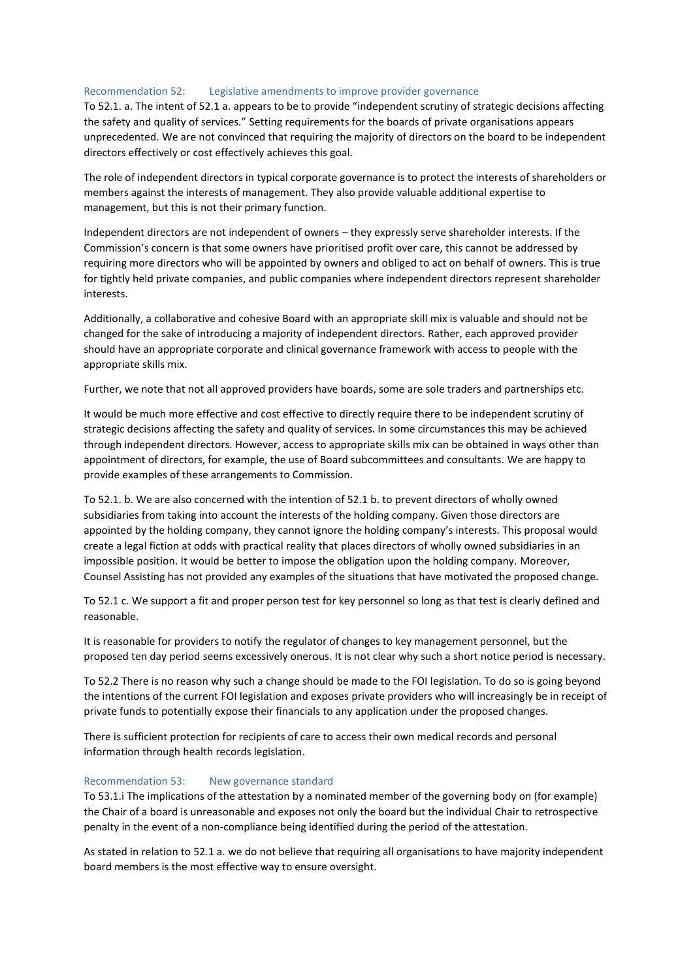## Recommendation 52: Legislative amendments to improve provider governance

To 52.1. a. The intent of 52.1 a. appears to be to provide "independent scrutiny of strategic decisions affecting the safety and quality of services." Setting requirements for the boards of private organisations appears unprecedented. We are not convinced that requiring the majority of directors on the board to be independent directors effectively or cost effectively achieves this goal.

The role of independent directors in typical corporate governance is to protect the interests of shareholders or members against the interests of management. They also provide valuable additional expertise to management, but this is not their primary function.

Independent directors are not independent of owners – they expressly serve shareholder interests. If the Commission's concern is that some owners have prioritised profit over care, this cannot be addressed by requiring more directors who will be appointed by owners and obliged to act on behalf of owners. This is true for tightly held private companies, and public companies where independent directors represent shareholder interests.

Additionally, a collaborative and cohesive Board with an appropriate skill mix is valuable and should not be changed for the sake of introducing a majority of independent directors. Rather, each approved provider should have an appropriate corporate and clinical governance framework with access to people with the appropriate skills mix.

Further, we note that not all approved providers have boards, some are sole traders and partnerships etc.

It would be much more effective and cost effective to directly require there to be independent scrutiny of strategic decisions affecting the safety and quality of services. In some circumstances this may be achieved through independent directors. However, access to appropriate skills mix can be obtained in ways other than appointment of directors, for example, the use of Board subcommittees and consultants. We are happy to provide examples of these arrangements to Commission.

To 52.1. b. We are also concerned with the intention of 52.1 b. to prevent directors of wholly owned subsidiaries from taking into account the interests of the holding company. Given those directors are appointed by the holding company, they cannot ignore the holding company's interests. This proposal would create a legal fiction at odds with practical reality that places directors of wholly owned subsidiaries in an impossible position. It would be better to impose the obligation upon the holding company. Moreover, Counsel Assisting has not provided any examples of the situations that have motivated the proposed change.

To 52.1 c. We support a fit and proper person test for key personnel so long as that test is clearly defined and reasonable.

It is reasonable for providers to notify the regulator of changes to key management personnel, but the proposed ten day period seems excessively onerous. It is not clear why such a short notice period is necessary.

To 52.2 There is no reason why such a change should be made to the FOI legislation. To do so is going beyond the intentions of the current FOI legislation and exposes private providers who will increasingly be in receipt of private funds to potentially expose their financials to any application under the proposed changes.

There is sufficient protection for recipients of care to access their own medical records and personal information through health records legislation.

#### Recommendation 53: New governance standard

To 53.1.i The implications of the attestation by a nominated member of the governing body on (for example) the Chair of a board is unreasonable and exposes not only the board but the individual Chair to retrospective penalty in the event of a non-compliance being identified during the period of the attestation.

As stated in relation to 52.1 a. we do not believe that requiring all organisations to have majority independent board members is the most effective way to ensure oversight.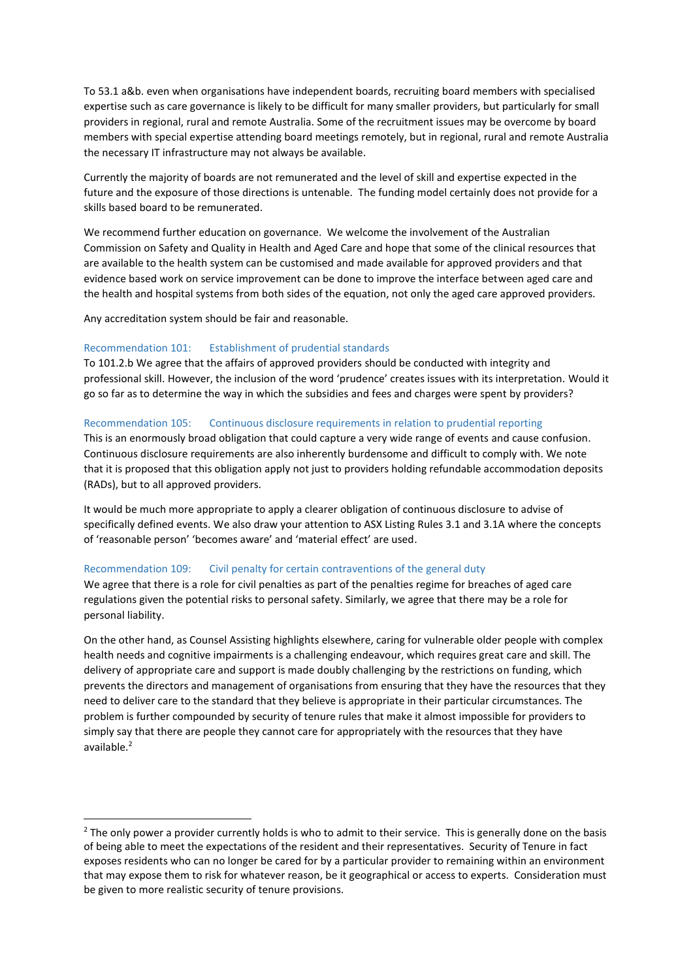To 53.1 a&b. even when organisations have independent boards, recruiting board members with specialised expertise such as care governance is likely to be difficult for many smaller providers, but particularly for small providers in regional, rural and remote Australia. Some of the recruitment issues may be overcome by board members with special expertise attending board meetings remotely, but in regional, rural and remote Australia the necessary IT infrastructure may not always be available.

Currently the majority of boards are not remunerated and the level of skill and expertise expected in the future and the exposure of those directions is untenable. The funding model certainly does not provide for a skills based board to be remunerated.

We recommend further education on governance. We welcome the involvement of the Australian Commission on Safety and Quality in Health and Aged Care and hope that some of the clinical resources that are available to the health system can be customised and made available for approved providers and that evidence based work on service improvement can be done to improve the interface between aged care and the health and hospital systems from both sides of the equation, not only the aged care approved providers.

Any accreditation system should be fair and reasonable.

**.** 

## Recommendation 101: Establishment of prudential standards

To 101.2.b We agree that the affairs of approved providers should be conducted with integrity and professional skill. However, the inclusion of the word 'prudence' creates issues with its interpretation. Would it go so far as to determine the way in which the subsidies and fees and charges were spent by providers?

## Recommendation 105: Continuous disclosure requirements in relation to prudential reporting

This is an enormously broad obligation that could capture a very wide range of events and cause confusion. Continuous disclosure requirements are also inherently burdensome and difficult to comply with. We note that it is proposed that this obligation apply not just to providers holding refundable accommodation deposits (RADs), but to all approved providers.

It would be much more appropriate to apply a clearer obligation of continuous disclosure to advise of specifically defined events. We also draw your attention to ASX Listing Rules 3.1 and 3.1A where the concepts of 'reasonable person' 'becomes aware' and 'material effect' are used.

#### Recommendation 109: Civil penalty for certain contraventions of the general duty

We agree that there is a role for civil penalties as part of the penalties regime for breaches of aged care regulations given the potential risks to personal safety. Similarly, we agree that there may be a role for personal liability.

On the other hand, as Counsel Assisting highlights elsewhere, caring for vulnerable older people with complex health needs and cognitive impairments is a challenging endeavour, which requires great care and skill. The delivery of appropriate care and support is made doubly challenging by the restrictions on funding, which prevents the directors and management of organisations from ensuring that they have the resources that they need to deliver care to the standard that they believe is appropriate in their particular circumstances. The problem is further compounded by security of tenure rules that make it almost impossible for providers to simply say that there are people they cannot care for appropriately with the resources that they have available.<sup>2</sup>

 $2$  The only power a provider currently holds is who to admit to their service. This is generally done on the basis of being able to meet the expectations of the resident and their representatives. Security of Tenure in fact exposes residents who can no longer be cared for by a particular provider to remaining within an environment that may expose them to risk for whatever reason, be it geographical or access to experts. Consideration must be given to more realistic security of tenure provisions.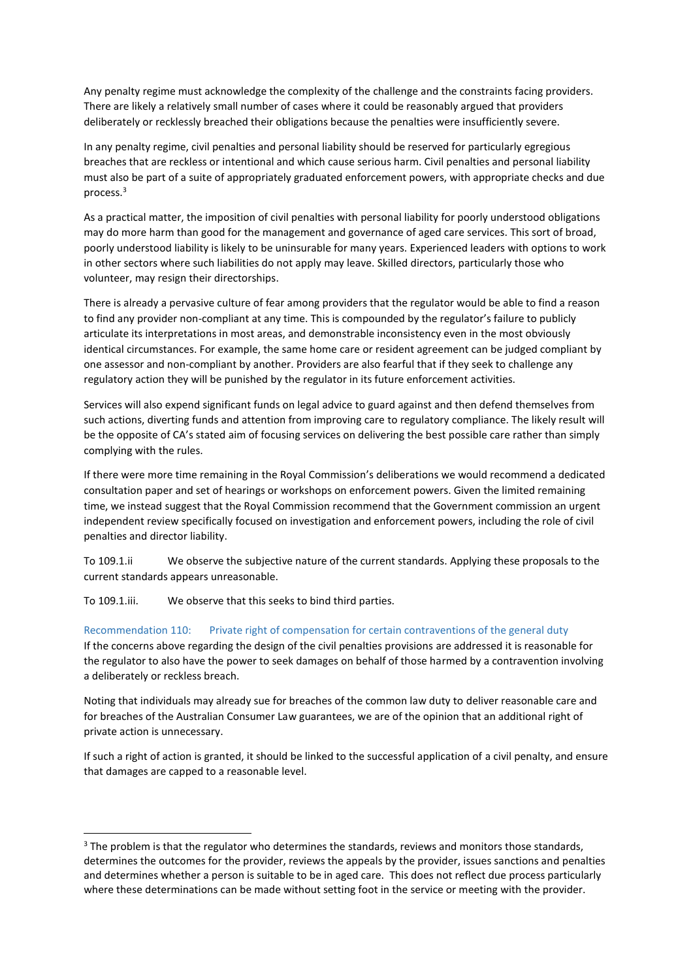Any penalty regime must acknowledge the complexity of the challenge and the constraints facing providers. There are likely a relatively small number of cases where it could be reasonably argued that providers deliberately or recklessly breached their obligations because the penalties were insufficiently severe.

In any penalty regime, civil penalties and personal liability should be reserved for particularly egregious breaches that are reckless or intentional and which cause serious harm. Civil penalties and personal liability must also be part of a suite of appropriately graduated enforcement powers, with appropriate checks and due process. 3

As a practical matter, the imposition of civil penalties with personal liability for poorly understood obligations may do more harm than good for the management and governance of aged care services. This sort of broad, poorly understood liability is likely to be uninsurable for many years. Experienced leaders with options to work in other sectors where such liabilities do not apply may leave. Skilled directors, particularly those who volunteer, may resign their directorships.

There is already a pervasive culture of fear among providers that the regulator would be able to find a reason to find any provider non-compliant at any time. This is compounded by the regulator's failure to publicly articulate its interpretations in most areas, and demonstrable inconsistency even in the most obviously identical circumstances. For example, the same home care or resident agreement can be judged compliant by one assessor and non-compliant by another. Providers are also fearful that if they seek to challenge any regulatory action they will be punished by the regulator in its future enforcement activities.

Services will also expend significant funds on legal advice to guard against and then defend themselves from such actions, diverting funds and attention from improving care to regulatory compliance. The likely result will be the opposite of CA's stated aim of focusing services on delivering the best possible care rather than simply complying with the rules.

If there were more time remaining in the Royal Commission's deliberations we would recommend a dedicated consultation paper and set of hearings or workshops on enforcement powers. Given the limited remaining time, we instead suggest that the Royal Commission recommend that the Government commission an urgent independent review specifically focused on investigation and enforcement powers, including the role of civil penalties and director liability.

To 109.1.ii We observe the subjective nature of the current standards. Applying these proposals to the current standards appears unreasonable.

To 109.1.iii. We observe that this seeks to bind third parties.

1

Recommendation 110: Private right of compensation for certain contraventions of the general duty If the concerns above regarding the design of the civil penalties provisions are addressed it is reasonable for the regulator to also have the power to seek damages on behalf of those harmed by a contravention involving a deliberately or reckless breach.

Noting that individuals may already sue for breaches of the common law duty to deliver reasonable care and for breaches of the Australian Consumer Law guarantees, we are of the opinion that an additional right of private action is unnecessary.

If such a right of action is granted, it should be linked to the successful application of a civil penalty, and ensure that damages are capped to a reasonable level.

 $3$  The problem is that the regulator who determines the standards, reviews and monitors those standards, determines the outcomes for the provider, reviews the appeals by the provider, issues sanctions and penalties and determines whether a person is suitable to be in aged care. This does not reflect due process particularly where these determinations can be made without setting foot in the service or meeting with the provider.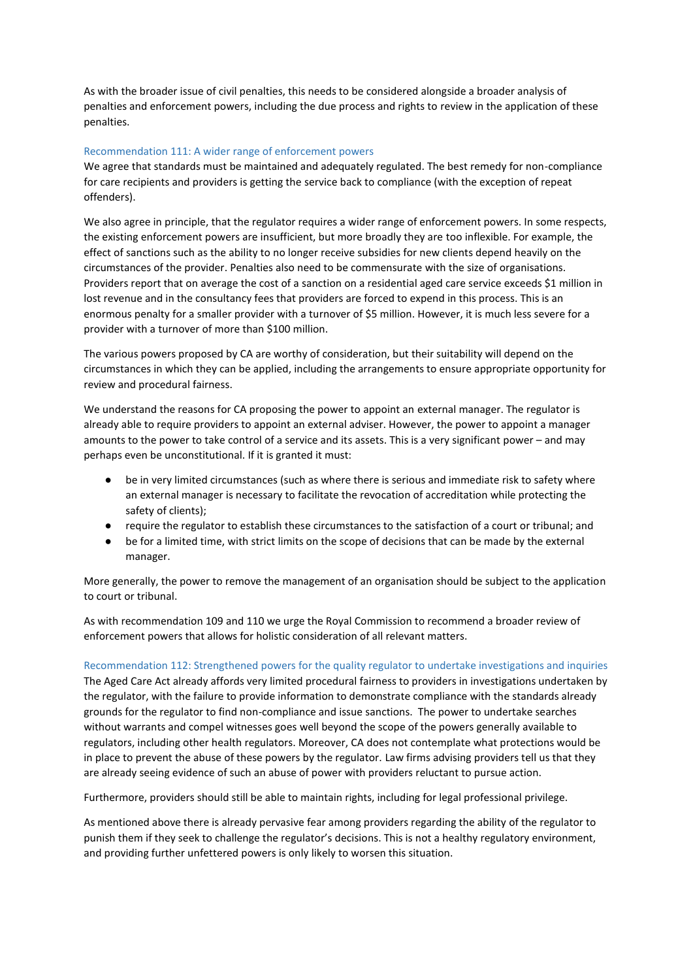As with the broader issue of civil penalties, this needs to be considered alongside a broader analysis of penalties and enforcement powers, including the due process and rights to review in the application of these penalties.

## Recommendation 111: A wider range of enforcement powers

We agree that standards must be maintained and adequately regulated. The best remedy for non-compliance for care recipients and providers is getting the service back to compliance (with the exception of repeat offenders).

We also agree in principle, that the regulator requires a wider range of enforcement powers. In some respects, the existing enforcement powers are insufficient, but more broadly they are too inflexible. For example, the effect of sanctions such as the ability to no longer receive subsidies for new clients depend heavily on the circumstances of the provider. Penalties also need to be commensurate with the size of organisations. Providers report that on average the cost of a sanction on a residential aged care service exceeds \$1 million in lost revenue and in the consultancy fees that providers are forced to expend in this process. This is an enormous penalty for a smaller provider with a turnover of \$5 million. However, it is much less severe for a provider with a turnover of more than \$100 million.

The various powers proposed by CA are worthy of consideration, but their suitability will depend on the circumstances in which they can be applied, including the arrangements to ensure appropriate opportunity for review and procedural fairness.

We understand the reasons for CA proposing the power to appoint an external manager. The regulator is already able to require providers to appoint an external adviser. However, the power to appoint a manager amounts to the power to take control of a service and its assets. This is a very significant power – and may perhaps even be unconstitutional. If it is granted it must:

- be in very limited circumstances (such as where there is serious and immediate risk to safety where an external manager is necessary to facilitate the revocation of accreditation while protecting the safety of clients);
- require the regulator to establish these circumstances to the satisfaction of a court or tribunal; and
- be for a limited time, with strict limits on the scope of decisions that can be made by the external manager.

More generally, the power to remove the management of an organisation should be subject to the application to court or tribunal.

As with recommendation 109 and 110 we urge the Royal Commission to recommend a broader review of enforcement powers that allows for holistic consideration of all relevant matters.

#### Recommendation 112: Strengthened powers for the quality regulator to undertake investigations and inquiries

The Aged Care Act already affords very limited procedural fairness to providers in investigations undertaken by the regulator, with the failure to provide information to demonstrate compliance with the standards already grounds for the regulator to find non-compliance and issue sanctions. The power to undertake searches without warrants and compel witnesses goes well beyond the scope of the powers generally available to regulators, including other health regulators. Moreover, CA does not contemplate what protections would be in place to prevent the abuse of these powers by the regulator. Law firms advising providers tell us that they are already seeing evidence of such an abuse of power with providers reluctant to pursue action.

Furthermore, providers should still be able to maintain rights, including for legal professional privilege.

As mentioned above there is already pervasive fear among providers regarding the ability of the regulator to punish them if they seek to challenge the regulator's decisions. This is not a healthy regulatory environment, and providing further unfettered powers is only likely to worsen this situation.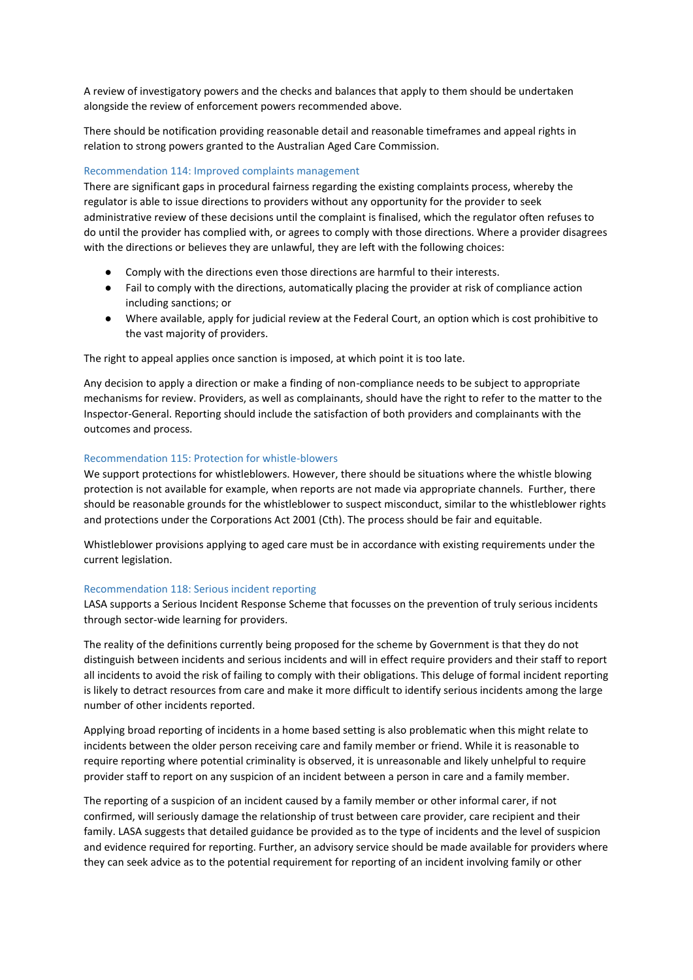A review of investigatory powers and the checks and balances that apply to them should be undertaken alongside the review of enforcement powers recommended above.

There should be notification providing reasonable detail and reasonable timeframes and appeal rights in relation to strong powers granted to the Australian Aged Care Commission.

## Recommendation 114: Improved complaints management

There are significant gaps in procedural fairness regarding the existing complaints process, whereby the regulator is able to issue directions to providers without any opportunity for the provider to seek administrative review of these decisions until the complaint is finalised, which the regulator often refuses to do until the provider has complied with, or agrees to comply with those directions. Where a provider disagrees with the directions or believes they are unlawful, they are left with the following choices:

- Comply with the directions even those directions are harmful to their interests.
- Fail to comply with the directions, automatically placing the provider at risk of compliance action including sanctions; or
- Where available, apply for judicial review at the Federal Court, an option which is cost prohibitive to the vast majority of providers.

The right to appeal applies once sanction is imposed, at which point it is too late.

Any decision to apply a direction or make a finding of non-compliance needs to be subject to appropriate mechanisms for review. Providers, as well as complainants, should have the right to refer to the matter to the Inspector-General. Reporting should include the satisfaction of both providers and complainants with the outcomes and process.

## Recommendation 115: Protection for whistle-blowers

We support protections for whistleblowers. However, there should be situations where the whistle blowing protection is not available for example, when reports are not made via appropriate channels. Further, there should be reasonable grounds for the whistleblower to suspect misconduct, similar to the whistleblower rights and protections under the Corporations Act 2001 (Cth). The process should be fair and equitable.

Whistleblower provisions applying to aged care must be in accordance with existing requirements under the current legislation.

#### Recommendation 118: Serious incident reporting

LASA supports a Serious Incident Response Scheme that focusses on the prevention of truly serious incidents through sector-wide learning for providers.

The reality of the definitions currently being proposed for the scheme by Government is that they do not distinguish between incidents and serious incidents and will in effect require providers and their staff to report all incidents to avoid the risk of failing to comply with their obligations. This deluge of formal incident reporting is likely to detract resources from care and make it more difficult to identify serious incidents among the large number of other incidents reported.

Applying broad reporting of incidents in a home based setting is also problematic when this might relate to incidents between the older person receiving care and family member or friend. While it is reasonable to require reporting where potential criminality is observed, it is unreasonable and likely unhelpful to require provider staff to report on any suspicion of an incident between a person in care and a family member.

The reporting of a suspicion of an incident caused by a family member or other informal carer, if not confirmed, will seriously damage the relationship of trust between care provider, care recipient and their family. LASA suggests that detailed guidance be provided as to the type of incidents and the level of suspicion and evidence required for reporting. Further, an advisory service should be made available for providers where they can seek advice as to the potential requirement for reporting of an incident involving family or other